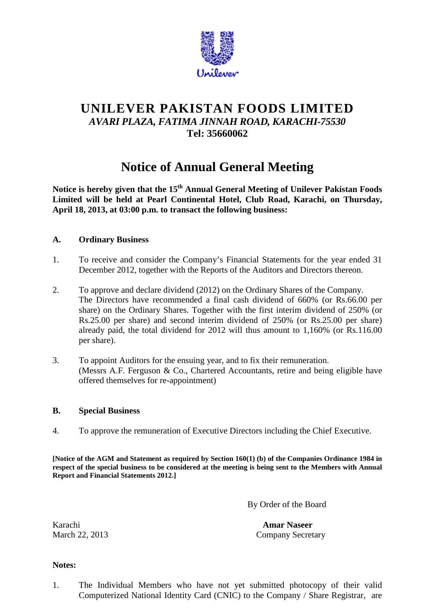

# **UNILEVER PAKISTAN FOODS LIMITED** *AVARI PLAZA, FATIMA JINNAH ROAD, KARACHI-75530* **Tel: 35660062**

# **Notice of Annual General Meeting**

**Notice is hereby given that the 15th Annual General Meeting of Unilever Pakistan Foods Limited will be held at Pearl Continental Hotel, Club Road, Karachi, on Thursday, April 18, 2013, at 03:00 p.m. to transact the following business:**

## **A. Ordinary Business**

- 1. To receive and consider the Company's Financial Statements for the year ended 31 December 2012, together with the Reports of the Auditors and Directors thereon.
- 2. To approve and declare dividend (2012) on the Ordinary Shares of the Company. The Directors have recommended a final cash dividend of 660% (or Rs.66.00 per share) on the Ordinary Shares. Together with the first interim dividend of 250% (or Rs.25.00 per share) and second interim dividend of 250% (or Rs.25.00 per share) already paid, the total dividend for 2012 will thus amount to 1,160% (or Rs.116.00 per share).
- 3. To appoint Auditors for the ensuing year, and to fix their remuneration. (Messrs A.F. Ferguson & Co., Chartered Accountants, retire and being eligible have offered themselves for re-appointment)

### **B. Special Business**

4. To approve the remuneration of Executive Directors including the Chief Executive.

**[Notice of the AGM and Statement as required by Section 160(1) (b) of the Companies Ordinance 1984 in respect of the special business to be considered at the meeting is being sent to the Members with Annual Report and Financial Statements 2012.]**

By Order of the Board

Karachi **Amar Naseer** March 22, 2013 Company Secretary

#### **Notes:**

1. The Individual Members who have not yet submitted photocopy of their valid Computerized National Identity Card (CNIC) to the Company / Share Registrar, are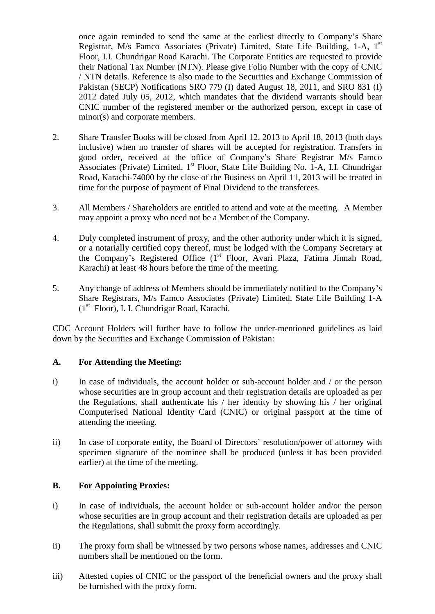once again reminded to send the same at the earliest directly to Company's Share Registrar, M/s Famco Associates (Private) Limited, State Life Building, 1-A, 1<sup>st</sup> Floor, I.I. Chundrigar Road Karachi. The Corporate Entities are requested to provide their National Tax Number (NTN). Please give Folio Number with the copy of CNIC / NTN details. Reference is also made to the Securities and Exchange Commission of Pakistan (SECP) Notifications SRO 779 (I) dated August 18, 2011, and SRO 831 (I) 2012 dated July 05, 2012, which mandates that the dividend warrants should bear CNIC number of the registered member or the authorized person, except in case of minor(s) and corporate members.

- 2. Share Transfer Books will be closed from April 12, 2013 to April 18, 2013 (both days inclusive) when no transfer of shares will be accepted for registration. Transfers in good order, received at the office of Company's Share Registrar M/s Famco Associates (Private) Limited,  $1<sup>st</sup>$  Floor, State Life Building No. 1-A, I.I. Chundrigar Road, Karachi-74000 by the close of the Business on April 11, 2013 will be treated in time for the purpose of payment of Final Dividend to the transferees.
- 3. All Members / Shareholders are entitled to attend and vote at the meeting. A Member may appoint a proxy who need not be a Member of the Company.
- 4. Duly completed instrument of proxy, and the other authority under which it is signed, or a notarially certified copy thereof, must be lodged with the Company Secretary at the Company's Registered Office (1<sup>st</sup> Floor, Avari Plaza, Fatima Jinnah Road, Karachi) at least 48 hours before the time of the meeting.
- 5. Any change of address of Members should be immediately notified to the Company's Share Registrars, M/s Famco Associates (Private) Limited, State Life Building 1-A (1st Floor), I. I. Chundrigar Road, Karachi.

CDC Account Holders will further have to follow the under-mentioned guidelines as laid down by the Securities and Exchange Commission of Pakistan:

### **A. For Attending the Meeting:**

- i) In case of individuals, the account holder or sub-account holder and / or the person whose securities are in group account and their registration details are uploaded as per the Regulations, shall authenticate his / her identity by showing his / her original Computerised National Identity Card (CNIC) or original passport at the time of attending the meeting.
- ii) In case of corporate entity, the Board of Directors' resolution/power of attorney with specimen signature of the nominee shall be produced (unless it has been provided earlier) at the time of the meeting.

#### **B. For Appointing Proxies:**

- i) In case of individuals, the account holder or sub-account holder and/or the person whose securities are in group account and their registration details are uploaded as per the Regulations, shall submit the proxy form accordingly.
- ii) The proxy form shall be witnessed by two persons whose names, addresses and CNIC numbers shall be mentioned on the form.
- iii) Attested copies of CNIC or the passport of the beneficial owners and the proxy shall be furnished with the proxy form.